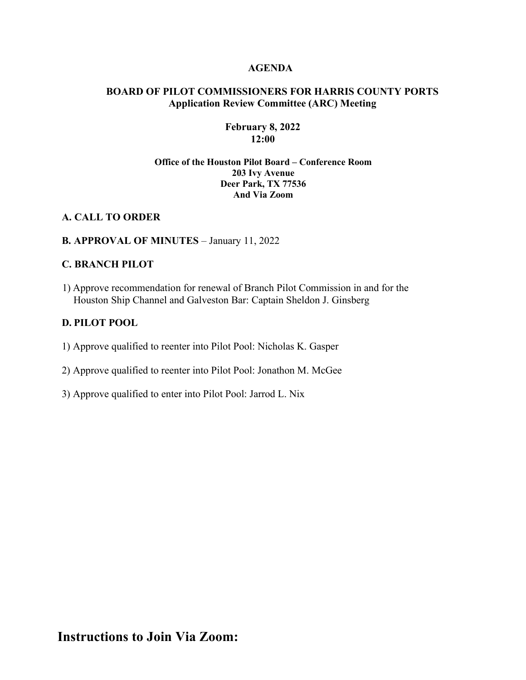# **AGENDA**

# **BOARD OF PILOT COMMISSIONERS FOR HARRIS COUNTY PORTS Application Review Committee (ARC) Meeting**

### **February 8, 2022 12:00**

# **Office of the Houston Pilot Board – Conference Room 203 Ivy Avenue Deer Park, TX 77536 And Via Zoom**

# **A. CALL TO ORDER**

# **B. APPROVAL OF MINUTES** – January 11, 2022

## **C. BRANCH PILOT**

1) Approve recommendation for renewal of Branch Pilot Commission in and for the Houston Ship Channel and Galveston Bar: Captain Sheldon J. Ginsberg

## **D. PILOT POOL**

- 1) Approve qualified to reenter into Pilot Pool: Nicholas K. Gasper
- 2) Approve qualified to reenter into Pilot Pool: Jonathon M. McGee
- 3) Approve qualified to enter into Pilot Pool: Jarrod L. Nix

**Instructions to Join Via Zoom:**